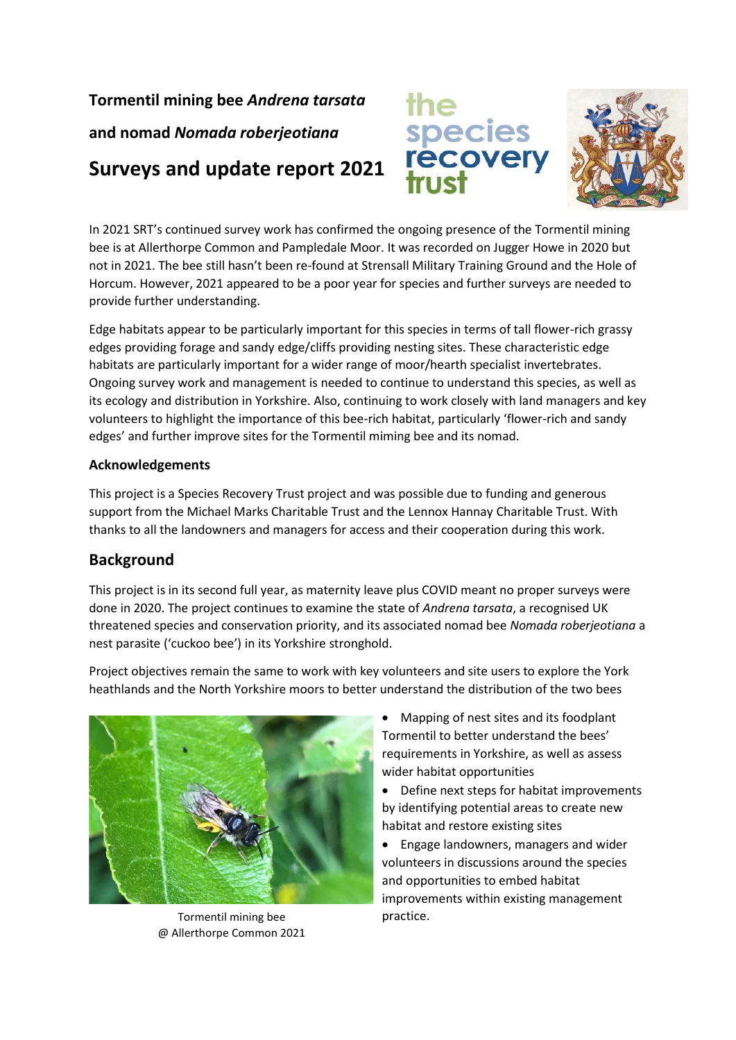**Tormentil mining bee** *Andrena tarsata* **and nomad** *Nomada roberjeotiana* **Surveys and update report 2021**





In 2021 SRT's continued survey work has confirmed the ongoing presence of the Tormentil mining bee is at Allerthorpe Common and Pampledale Moor. It was recorded on Jugger Howe in 2020 but not in 2021. The bee still hasn't been re-found at Strensall Military Training Ground and the Hole of Horcum. However, 2021 appeared to be a poor year for species and further surveys are needed to provide further understanding.

Edge habitats appear to be particularly important for this species in terms of tall flower-rich grassy edges providing forage and sandy edge/cliffs providing nesting sites. These characteristic edge habitats are particularly important for a wider range of moor/hearth specialist invertebrates. Ongoing survey work and management is needed to continue to understand this species, as well as its ecology and distribution in Yorkshire. Also, continuing to work closely with land managers and key volunteers to highlight the importance of this bee-rich habitat, particularly 'flower-rich and sandy edges' and further improve sites for the Tormentil miming bee and its nomad.

### **Acknowledgements**

This project is a Species Recovery Trust project and was possible due to funding and generous support from the Michael Marks Charitable Trust and the Lennox Hannay Charitable Trust. With thanks to all the landowners and managers for access and their cooperation during this work.

## **Background**

This project is in its second full year, as maternity leave plus COVID meant no proper surveys were done in 2020. The project continues to examine the state of *Andrena tarsata*, a recognised UK threatened species and conservation priority, and its associated nomad bee *Nomada roberjeotiana* a nest parasite ('cuckoo bee') in its Yorkshire stronghold.

Project objectives remain the same to work with key volunteers and site users to explore the York heathlands and the North Yorkshire moors to better understand the distribution of the two bees



Tormentil mining bee practice. @ Allerthorpe Common 2021

• Mapping of nest sites and its foodplant Tormentil to better understand the bees' requirements in Yorkshire, as well as assess wider habitat opportunities

• Define next steps for habitat improvements by identifying potential areas to create new habitat and restore existing sites

• Engage landowners, managers and wider volunteers in discussions around the species and opportunities to embed habitat improvements within existing management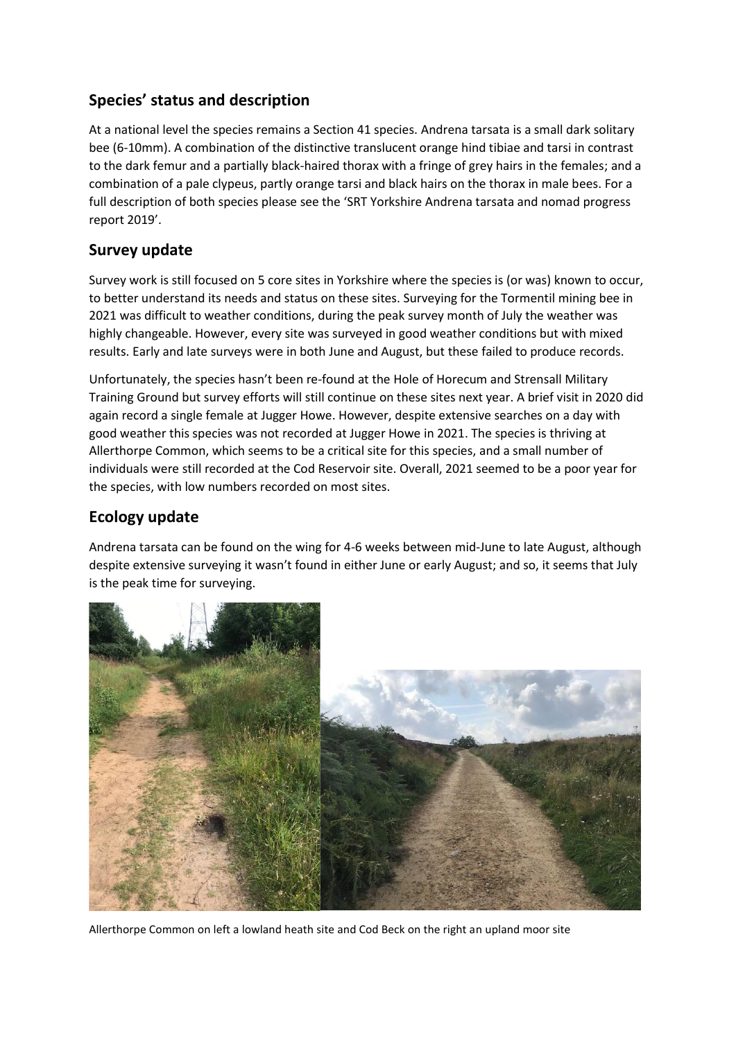# **Species' status and description**

At a national level the species remains a Section 41 species. Andrena tarsata is a small dark solitary bee (6-10mm). A combination of the distinctive translucent orange hind tibiae and tarsi in contrast to the dark femur and a partially black-haired thorax with a fringe of grey hairs in the females; and a combination of a pale clypeus, partly orange tarsi and black hairs on the thorax in male bees. For a full description of both species please see the 'SRT Yorkshire Andrena tarsata and nomad progress report 2019'.

## **Survey update**

Survey work is still focused on 5 core sites in Yorkshire where the species is (or was) known to occur, to better understand its needs and status on these sites. Surveying for the Tormentil mining bee in 2021 was difficult to weather conditions, during the peak survey month of July the weather was highly changeable. However, every site was surveyed in good weather conditions but with mixed results. Early and late surveys were in both June and August, but these failed to produce records.

Unfortunately, the species hasn't been re-found at the Hole of Horecum and Strensall Military Training Ground but survey efforts will still continue on these sites next year. A brief visit in 2020 did again record a single female at Jugger Howe. However, despite extensive searches on a day with good weather this species was not recorded at Jugger Howe in 2021. The species is thriving at Allerthorpe Common, which seems to be a critical site for this species, and a small number of individuals were still recorded at the Cod Reservoir site. Overall, 2021 seemed to be a poor year for the species, with low numbers recorded on most sites.

# **Ecology update**

Andrena tarsata can be found on the wing for 4-6 weeks between mid-June to late August, although despite extensive surveying it wasn't found in either June or early August; and so, it seems that July is the peak time for surveying.



Allerthorpe Common on left a lowland heath site and Cod Beck on the right an upland moor site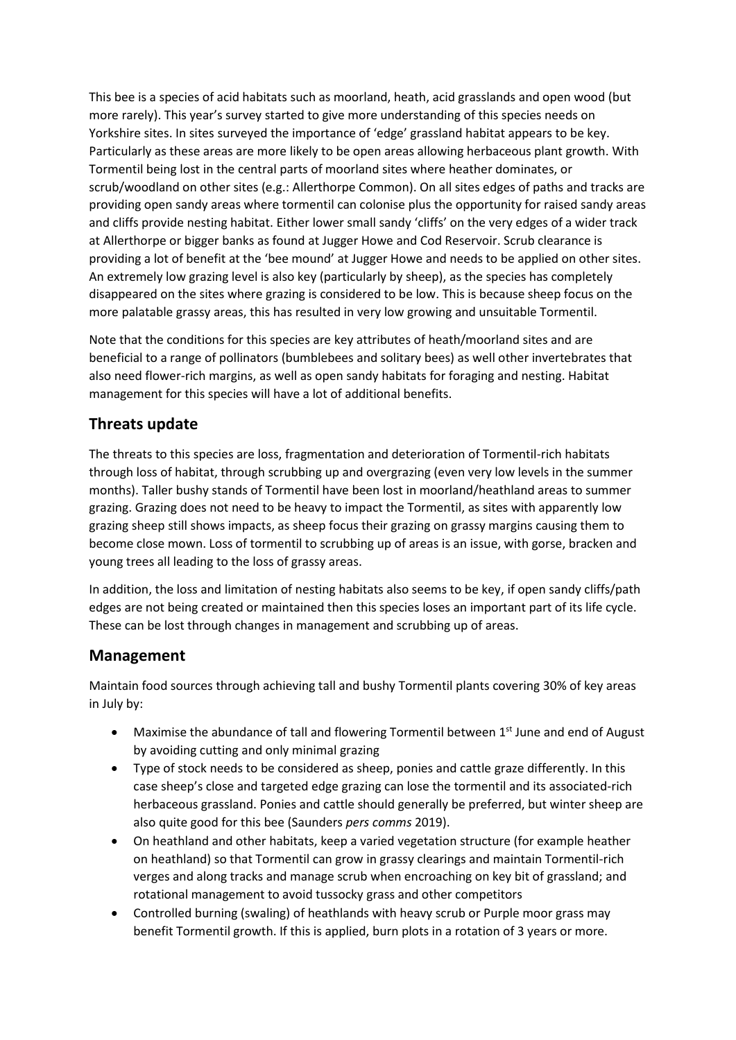This bee is a species of acid habitats such as moorland, heath, acid grasslands and open wood (but more rarely). This year's survey started to give more understanding of this species needs on Yorkshire sites. In sites surveyed the importance of 'edge' grassland habitat appears to be key. Particularly as these areas are more likely to be open areas allowing herbaceous plant growth. With Tormentil being lost in the central parts of moorland sites where heather dominates, or scrub/woodland on other sites (e.g.: Allerthorpe Common). On all sites edges of paths and tracks are providing open sandy areas where tormentil can colonise plus the opportunity for raised sandy areas and cliffs provide nesting habitat. Either lower small sandy 'cliffs' on the very edges of a wider track at Allerthorpe or bigger banks as found at Jugger Howe and Cod Reservoir. Scrub clearance is providing a lot of benefit at the 'bee mound' at Jugger Howe and needs to be applied on other sites. An extremely low grazing level is also key (particularly by sheep), as the species has completely disappeared on the sites where grazing is considered to be low. This is because sheep focus on the more palatable grassy areas, this has resulted in very low growing and unsuitable Tormentil.

Note that the conditions for this species are key attributes of heath/moorland sites and are beneficial to a range of pollinators (bumblebees and solitary bees) as well other invertebrates that also need flower-rich margins, as well as open sandy habitats for foraging and nesting. Habitat management for this species will have a lot of additional benefits.

# **Threats update**

The threats to this species are loss, fragmentation and deterioration of Tormentil-rich habitats through loss of habitat, through scrubbing up and overgrazing (even very low levels in the summer months). Taller bushy stands of Tormentil have been lost in moorland/heathland areas to summer grazing. Grazing does not need to be heavy to impact the Tormentil, as sites with apparently low grazing sheep still shows impacts, as sheep focus their grazing on grassy margins causing them to become close mown. Loss of tormentil to scrubbing up of areas is an issue, with gorse, bracken and young trees all leading to the loss of grassy areas.

In addition, the loss and limitation of nesting habitats also seems to be key, if open sandy cliffs/path edges are not being created or maintained then this species loses an important part of its life cycle. These can be lost through changes in management and scrubbing up of areas.

## **Management**

Maintain food sources through achieving tall and bushy Tormentil plants covering 30% of key areas in July by:

- Maximise the abundance of tall and flowering Tormentil between 1<sup>st</sup> June and end of August by avoiding cutting and only minimal grazing
- Type of stock needs to be considered as sheep, ponies and cattle graze differently. In this case sheep's close and targeted edge grazing can lose the tormentil and its associated-rich herbaceous grassland. Ponies and cattle should generally be preferred, but winter sheep are also quite good for this bee (Saunders *pers comms* 2019).
- On heathland and other habitats, keep a varied vegetation structure (for example heather on heathland) so that Tormentil can grow in grassy clearings and maintain Tormentil-rich verges and along tracks and manage scrub when encroaching on key bit of grassland; and rotational management to avoid tussocky grass and other competitors
- Controlled burning (swaling) of heathlands with heavy scrub or Purple moor grass may benefit Tormentil growth. If this is applied, burn plots in a rotation of 3 years or more.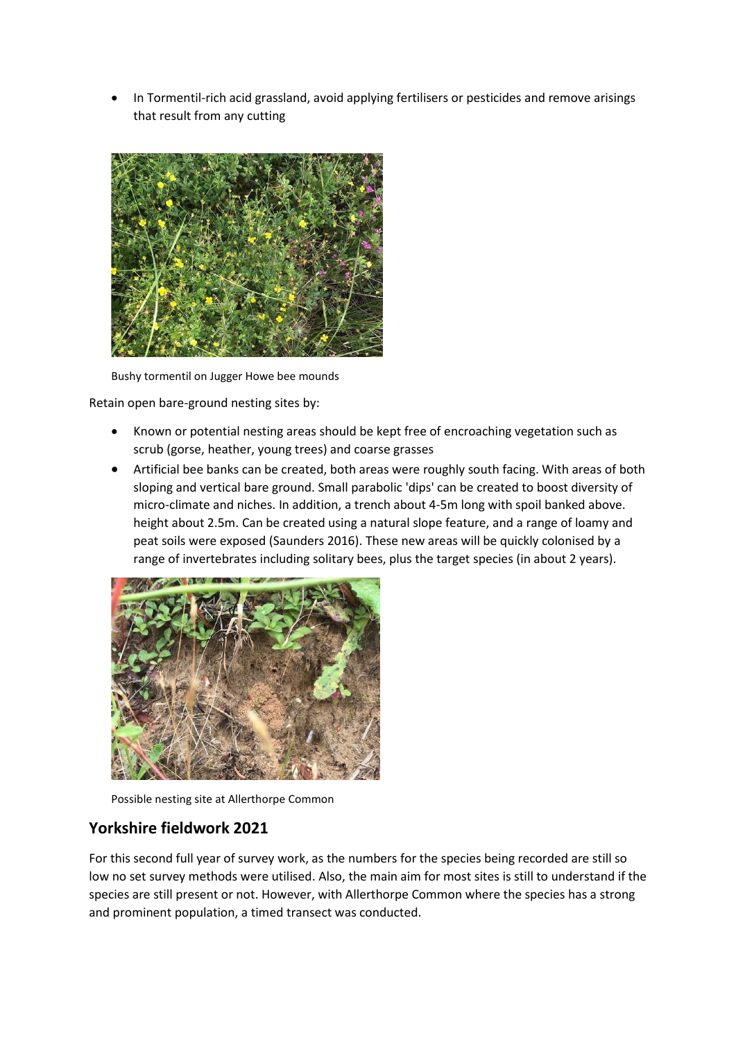• In Tormentil-rich acid grassland, avoid applying fertilisers or pesticides and remove arisings that result from any cutting



Bushy tormentil on Jugger Howe bee mounds

Retain open bare-ground nesting sites by:

- Known or potential nesting areas should be kept free of encroaching vegetation such as scrub (gorse, heather, young trees) and coarse grasses
- Artificial bee banks can be created, both areas were roughly south facing. With areas of both sloping and vertical bare ground. Small parabolic 'dips' can be created to boost diversity of micro-climate and niches. In addition, a trench about 4-5m long with spoil banked above. height about 2.5m. Can be created using a natural slope feature, and a range of loamy and peat soils were exposed (Saunders 2016). These new areas will be quickly colonised by a range of invertebrates including solitary bees, plus the target species (in about 2 years).



Possible nesting site at Allerthorpe Common

## **Yorkshire fieldwork 2021**

For this second full year of survey work, as the numbers for the species being recorded are still so low no set survey methods were utilised. Also, the main aim for most sites is still to understand if the species are still present or not. However, with Allerthorpe Common where the species has a strong and prominent population, a timed transect was conducted.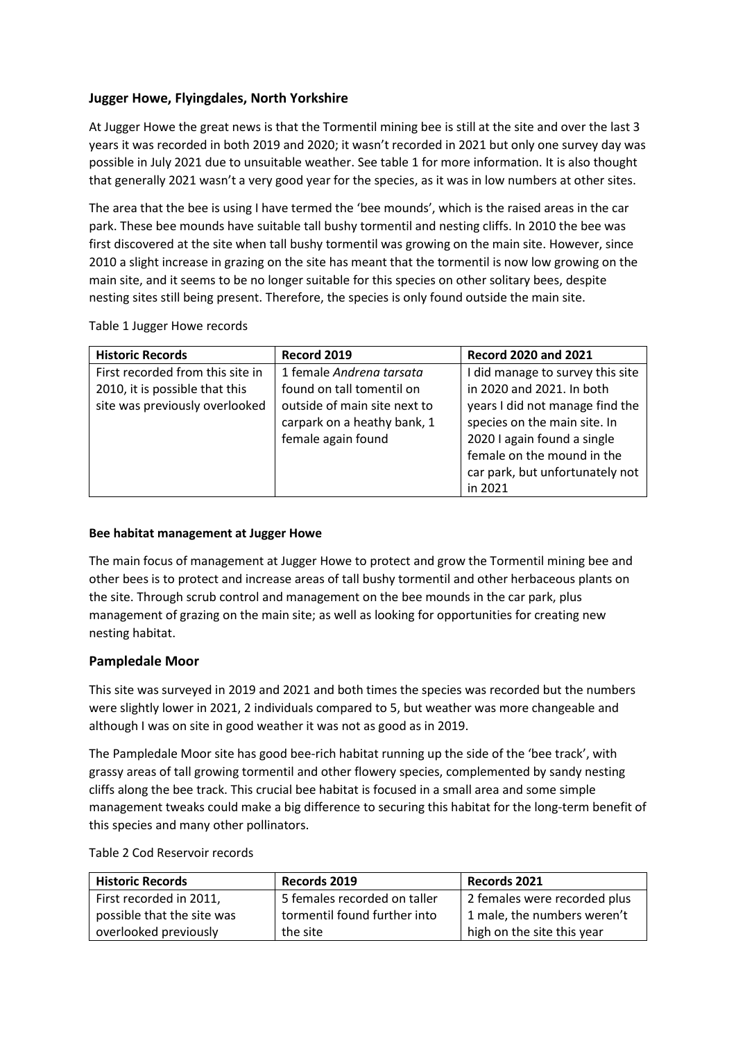## **Jugger Howe, Flyingdales, North Yorkshire**

At Jugger Howe the great news is that the Tormentil mining bee is still at the site and over the last 3 years it was recorded in both 2019 and 2020; it wasn't recorded in 2021 but only one survey day was possible in July 2021 due to unsuitable weather. See table 1 for more information. It is also thought that generally 2021 wasn't a very good year for the species, as it was in low numbers at other sites.

The area that the bee is using I have termed the 'bee mounds', which is the raised areas in the car park. These bee mounds have suitable tall bushy tormentil and nesting cliffs. In 2010 the bee was first discovered at the site when tall bushy tormentil was growing on the main site. However, since 2010 a slight increase in grazing on the site has meant that the tormentil is now low growing on the main site, and it seems to be no longer suitable for this species on other solitary bees, despite nesting sites still being present. Therefore, the species is only found outside the main site.

| Table 1 Jugger Howe records |  |  |  |  |  |
|-----------------------------|--|--|--|--|--|
|-----------------------------|--|--|--|--|--|

| <b>Historic Records</b>          | <b>Record 2019</b>           | <b>Record 2020 and 2021</b>      |
|----------------------------------|------------------------------|----------------------------------|
| First recorded from this site in | 1 female Andrena tarsata     | I did manage to survey this site |
| 2010, it is possible that this   | found on tall tomentil on    | in 2020 and 2021. In both        |
| site was previously overlooked   | outside of main site next to | years I did not manage find the  |
|                                  | carpark on a heathy bank, 1  | species on the main site. In     |
|                                  | female again found           | 2020 I again found a single      |
|                                  |                              | female on the mound in the       |
|                                  |                              | car park, but unfortunately not  |
|                                  |                              | in 2021                          |

#### **Bee habitat management at Jugger Howe**

The main focus of management at Jugger Howe to protect and grow the Tormentil mining bee and other bees is to protect and increase areas of tall bushy tormentil and other herbaceous plants on the site. Through scrub control and management on the bee mounds in the car park, plus management of grazing on the main site; as well as looking for opportunities for creating new nesting habitat.

#### **Pampledale Moor**

This site was surveyed in 2019 and 2021 and both times the species was recorded but the numbers were slightly lower in 2021, 2 individuals compared to 5, but weather was more changeable and although I was on site in good weather it was not as good as in 2019.

The Pampledale Moor site has good bee-rich habitat running up the side of the 'bee track', with grassy areas of tall growing tormentil and other flowery species, complemented by sandy nesting cliffs along the bee track. This crucial bee habitat is focused in a small area and some simple management tweaks could make a big difference to securing this habitat for the long-term benefit of this species and many other pollinators.

Table 2 Cod Reservoir records

| <b>Historic Records</b>    | Records 2019                 | Records 2021                 |
|----------------------------|------------------------------|------------------------------|
| First recorded in 2011,    | 5 females recorded on taller | 2 females were recorded plus |
| possible that the site was | tormentil found further into | 1 male, the numbers weren't  |
| overlooked previously      | the site                     | high on the site this year   |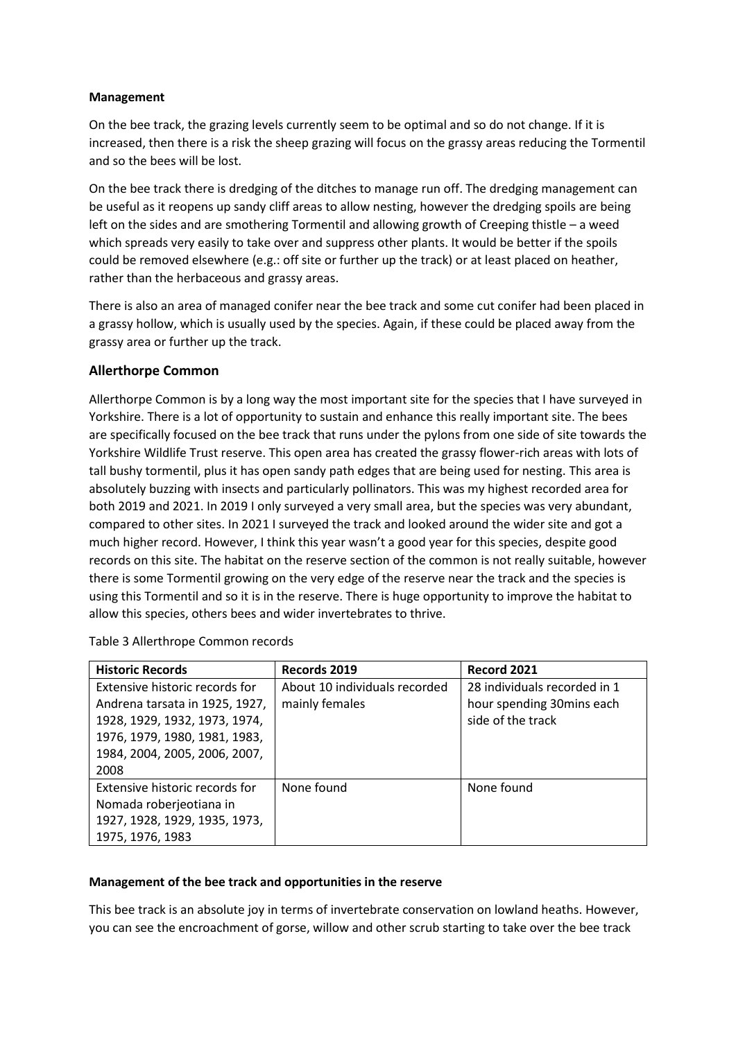#### **Management**

On the bee track, the grazing levels currently seem to be optimal and so do not change. If it is increased, then there is a risk the sheep grazing will focus on the grassy areas reducing the Tormentil and so the bees will be lost.

On the bee track there is dredging of the ditches to manage run off. The dredging management can be useful as it reopens up sandy cliff areas to allow nesting, however the dredging spoils are being left on the sides and are smothering Tormentil and allowing growth of Creeping thistle – a weed which spreads very easily to take over and suppress other plants. It would be better if the spoils could be removed elsewhere (e.g.: off site or further up the track) or at least placed on heather, rather than the herbaceous and grassy areas.

There is also an area of managed conifer near the bee track and some cut conifer had been placed in a grassy hollow, which is usually used by the species. Again, if these could be placed away from the grassy area or further up the track.

### **Allerthorpe Common**

Allerthorpe Common is by a long way the most important site for the species that I have surveyed in Yorkshire. There is a lot of opportunity to sustain and enhance this really important site. The bees are specifically focused on the bee track that runs under the pylons from one side of site towards the Yorkshire Wildlife Trust reserve. This open area has created the grassy flower-rich areas with lots of tall bushy tormentil, plus it has open sandy path edges that are being used for nesting. This area is absolutely buzzing with insects and particularly pollinators. This was my highest recorded area for both 2019 and 2021. In 2019 I only surveyed a very small area, but the species was very abundant, compared to other sites. In 2021 I surveyed the track and looked around the wider site and got a much higher record. However, I think this year wasn't a good year for this species, despite good records on this site. The habitat on the reserve section of the common is not really suitable, however there is some Tormentil growing on the very edge of the reserve near the track and the species is using this Tormentil and so it is in the reserve. There is huge opportunity to improve the habitat to allow this species, others bees and wider invertebrates to thrive.

| <b>Historic Records</b>        | Records 2019                  | Record 2021                  |
|--------------------------------|-------------------------------|------------------------------|
| Extensive historic records for | About 10 individuals recorded | 28 individuals recorded in 1 |
| Andrena tarsata in 1925, 1927, | mainly females                | hour spending 30mins each    |
| 1928, 1929, 1932, 1973, 1974,  |                               | side of the track            |
| 1976, 1979, 1980, 1981, 1983,  |                               |                              |
| 1984, 2004, 2005, 2006, 2007,  |                               |                              |
| 2008                           |                               |                              |
| Extensive historic records for | None found                    | None found                   |
| Nomada roberjeotiana in        |                               |                              |
| 1927, 1928, 1929, 1935, 1973,  |                               |                              |
| 1975, 1976, 1983               |                               |                              |

Table 3 Allerthrope Common records

#### **Management of the bee track and opportunities in the reserve**

This bee track is an absolute joy in terms of invertebrate conservation on lowland heaths. However, you can see the encroachment of gorse, willow and other scrub starting to take over the bee track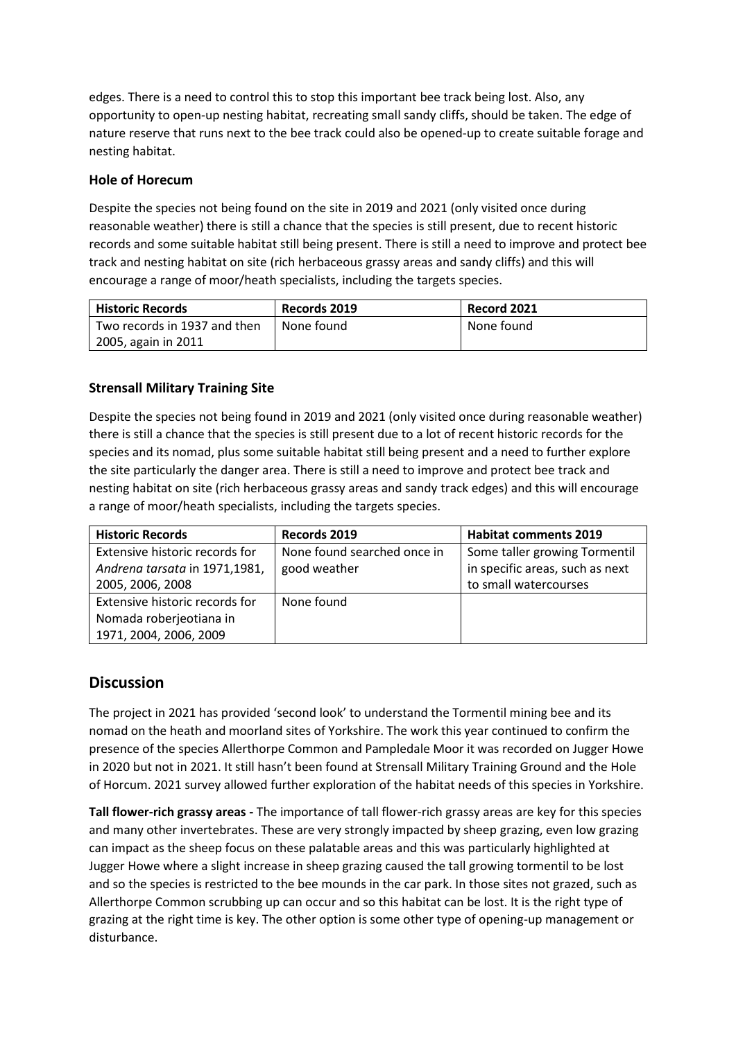edges. There is a need to control this to stop this important bee track being lost. Also, any opportunity to open-up nesting habitat, recreating small sandy cliffs, should be taken. The edge of nature reserve that runs next to the bee track could also be opened-up to create suitable forage and nesting habitat.

### **Hole of Horecum**

Despite the species not being found on the site in 2019 and 2021 (only visited once during reasonable weather) there is still a chance that the species is still present, due to recent historic records and some suitable habitat still being present. There is still a need to improve and protect bee track and nesting habitat on site (rich herbaceous grassy areas and sandy cliffs) and this will encourage a range of moor/heath specialists, including the targets species.

| <b>Historic Records</b>      | Records 2019 | Record 2021 |
|------------------------------|--------------|-------------|
| Two records in 1937 and then | l None found | None found  |
| 2005, again in 2011          |              |             |

### **Strensall Military Training Site**

Despite the species not being found in 2019 and 2021 (only visited once during reasonable weather) there is still a chance that the species is still present due to a lot of recent historic records for the species and its nomad, plus some suitable habitat still being present and a need to further explore the site particularly the danger area. There is still a need to improve and protect bee track and nesting habitat on site (rich herbaceous grassy areas and sandy track edges) and this will encourage a range of moor/heath specialists, including the targets species.

| <b>Historic Records</b>        | Records 2019                | <b>Habitat comments 2019</b>    |
|--------------------------------|-----------------------------|---------------------------------|
| Extensive historic records for | None found searched once in | Some taller growing Tormentil   |
| Andrena tarsata in 1971,1981,  | good weather                | in specific areas, such as next |
| 2005, 2006, 2008               |                             | to small watercourses           |
| Extensive historic records for | None found                  |                                 |
| Nomada roberjeotiana in        |                             |                                 |
| 1971, 2004, 2006, 2009         |                             |                                 |

## **Discussion**

The project in 2021 has provided 'second look' to understand the Tormentil mining bee and its nomad on the heath and moorland sites of Yorkshire. The work this year continued to confirm the presence of the species Allerthorpe Common and Pampledale Moor it was recorded on Jugger Howe in 2020 but not in 2021. It still hasn't been found at Strensall Military Training Ground and the Hole of Horcum. 2021 survey allowed further exploration of the habitat needs of this species in Yorkshire.

**Tall flower-rich grassy areas -** The importance of tall flower-rich grassy areas are key for this species and many other invertebrates. These are very strongly impacted by sheep grazing, even low grazing can impact as the sheep focus on these palatable areas and this was particularly highlighted at Jugger Howe where a slight increase in sheep grazing caused the tall growing tormentil to be lost and so the species is restricted to the bee mounds in the car park. In those sites not grazed, such as Allerthorpe Common scrubbing up can occur and so this habitat can be lost. It is the right type of grazing at the right time is key. The other option is some other type of opening-up management or disturbance.